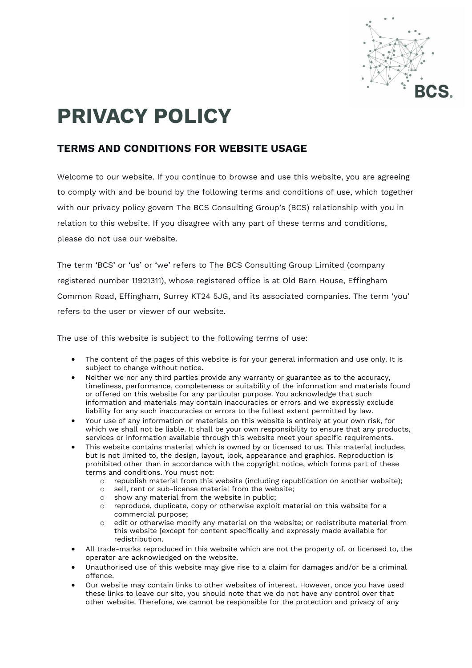

# **PRIVACY POLICY**

## **TERMS AND CONDITIONS FOR WEBSITE USAGE**

Welcome to our website. If you continue to browse and use this website, you are agreeing to comply with and be bound by the following terms and conditions of use, which together with our privacy policy govern The BCS Consulting Group's (BCS) relationship with you in relation to this website. If you disagree with any part of these terms and conditions, please do not use our website.

The term 'BCS' or 'us' or 'we' refers to The BCS Consulting Group Limited (company registered number 11921311), whose registered office is at Old Barn House, Effingham Common Road, Effingham, Surrey KT24 5JG, and its associated companies. The term 'you' refers to the user or viewer of our website.

The use of this website is subject to the following terms of use:

- The content of the pages of this website is for your general information and use only. It is subject to change without notice.
- Neither we nor any third parties provide any warranty or guarantee as to the accuracy, timeliness, performance, completeness or suitability of the information and materials found or offered on this website for any particular purpose. You acknowledge that such information and materials may contain inaccuracies or errors and we expressly exclude liability for any such inaccuracies or errors to the fullest extent permitted by law.
- Your use of any information or materials on this website is entirely at your own risk, for which we shall not be liable. It shall be your own responsibility to ensure that any products, services or information available through this website meet your specific requirements.
- This website contains material which is owned by or licensed to us. This material includes, but is not limited to, the design, layout, look, appearance and graphics. Reproduction is prohibited other than in accordance with the copyright notice, which forms part of these terms and conditions. You must not:
	- o republish material from this website (including republication on another website);
	- o sell, rent or sub-license material from the website;
	- o show any material from the website in public;
	- reproduce, duplicate, copy or otherwise exploit material on this website for a commercial purpose;
	- edit or otherwise modify any material on the website; or redistribute material from this website [except for content specifically and expressly made available for redistribution.
- All trade-marks reproduced in this website which are not the property of, or licensed to, the operator are acknowledged on the website.
- Unauthorised use of this website may give rise to a claim for damages and/or be a criminal offence.
- Our website may contain links to other websites of interest. However, once you have used these links to leave our site, you should note that we do not have any control over that other website. Therefore, we cannot be responsible for the protection and privacy of any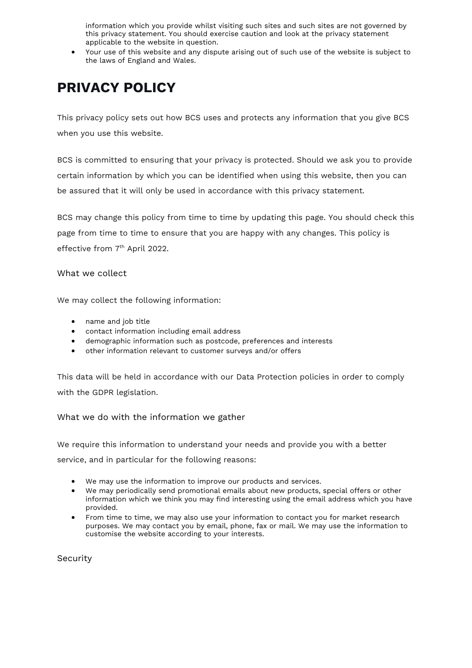information which you provide whilst visiting such sites and such sites are not governed by this privacy statement. You should exercise caution and look at the privacy statement applicable to the website in question.

• Your use of this website and any dispute arising out of such use of the website is subject to the laws of England and Wales.

# **PRIVACY POLICY**

This privacy policy sets out how BCS uses and protects any information that you give BCS when you use this website.

BCS is committed to ensuring that your privacy is protected. Should we ask you to provide certain information by which you can be identified when using this website, then you can be assured that it will only be used in accordance with this privacy statement.

BCS may change this policy from time to time by updating this page. You should check this page from time to time to ensure that you are happy with any changes. This policy is effective from 7<sup>th</sup> April 2022.

#### What we collect

We may collect the following information:

- name and job title
- contact information including email address
- demographic information such as postcode, preferences and interests
- other information relevant to customer surveys and/or offers

This data will be held in accordance with our Data Protection policies in order to comply with the GDPR legislation.

#### What we do with the information we gather

We require this information to understand your needs and provide you with a better service, and in particular for the following reasons:

- We may use the information to improve our products and services.
- We may periodically send promotional emails about new products, special offers or other information which we think you may find interesting using the email address which you have provided.
- From time to time, we may also use your information to contact you for market research purposes. We may contact you by email, phone, fax or mail. We may use the information to customise the website according to your interests.

Security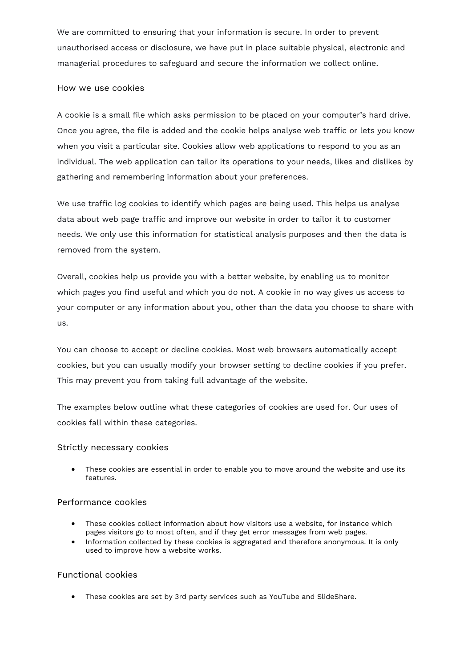We are committed to ensuring that your information is secure. In order to prevent unauthorised access or disclosure, we have put in place suitable physical, electronic and managerial procedures to safeguard and secure the information we collect online.

#### How we use cookies

A cookie is a small file which asks permission to be placed on your computer's hard drive. Once you agree, the file is added and the cookie helps analyse web traffic or lets you know when you visit a particular site. Cookies allow web applications to respond to you as an individual. The web application can tailor its operations to your needs, likes and dislikes by gathering and remembering information about your preferences.

We use traffic log cookies to identify which pages are being used. This helps us analyse data about web page traffic and improve our website in order to tailor it to customer needs. We only use this information for statistical analysis purposes and then the data is removed from the system.

Overall, cookies help us provide you with a better website, by enabling us to monitor which pages you find useful and which you do not. A cookie in no way gives us access to your computer or any information about you, other than the data you choose to share with us.

You can choose to accept or decline cookies. Most web browsers automatically accept cookies, but you can usually modify your browser setting to decline cookies if you prefer. This may prevent you from taking full advantage of the website.

The examples below outline what these categories of cookies are used for. Our uses of cookies fall within these categories.

#### Strictly necessary cookies

• These cookies are essential in order to enable you to move around the website and use its features.

#### Performance cookies

- These cookies collect information about how visitors use a website, for instance which pages visitors go to most often, and if they get error messages from web pages.
- Information collected by these cookies is aggregated and therefore anonymous. It is only used to improve how a website works.

#### Functional cookies

• These cookies are set by 3rd party services such as YouTube and SlideShare.